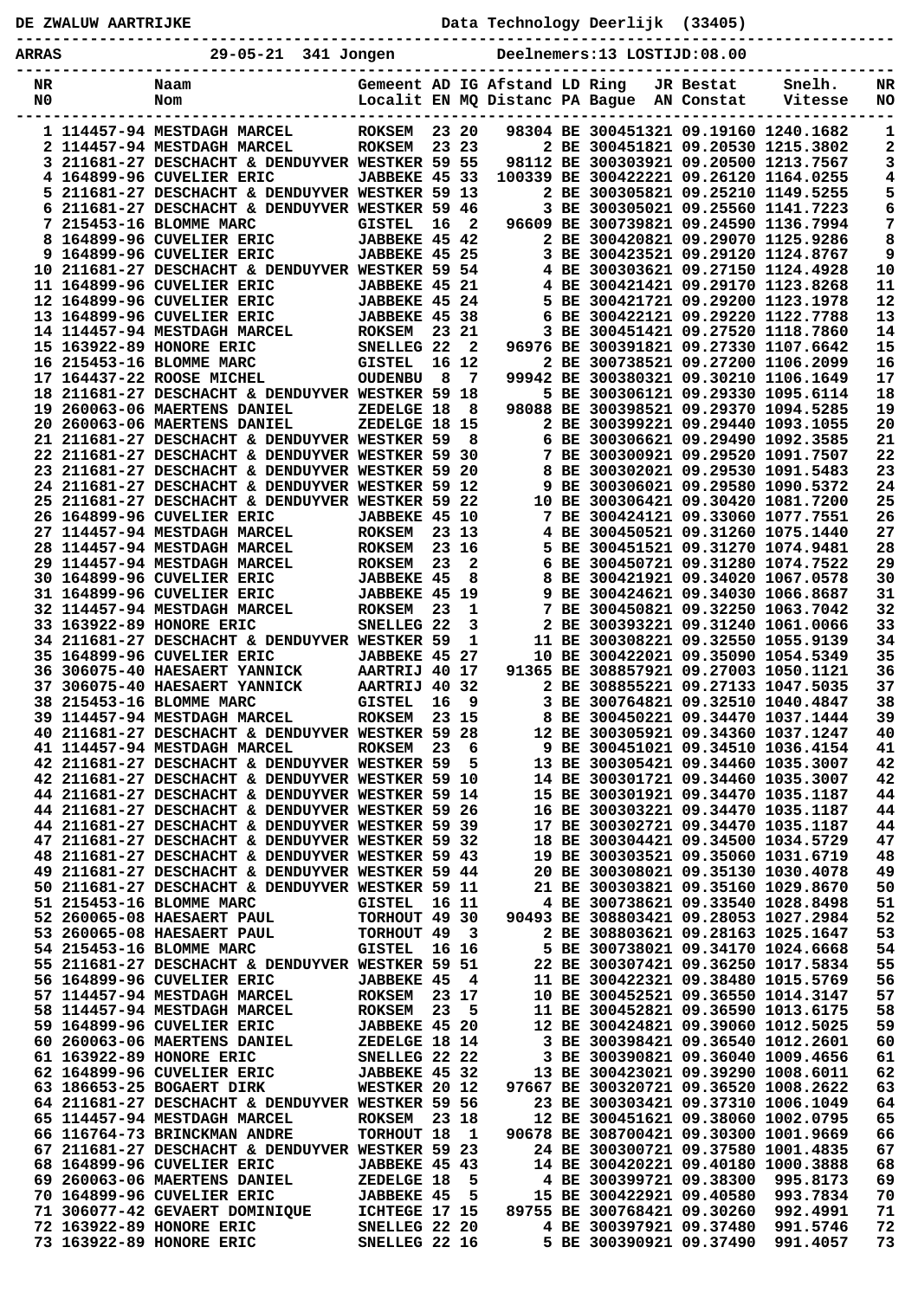| DE ZWALUW AARTRIJKE |  |                                                                                                      |                                        |    |                             |                               | Data Technology Deerlijk (33405)                    |                         |                                                                             |          |
|---------------------|--|------------------------------------------------------------------------------------------------------|----------------------------------------|----|-----------------------------|-------------------------------|-----------------------------------------------------|-------------------------|-----------------------------------------------------------------------------|----------|
| ARRAS               |  | 29-05-21 341 Jongen                                                                                  |                                        |    | Deelnemers:13 LOSTIJD:08.00 |                               |                                                     |                         |                                                                             |          |
| NR<br>N0            |  | Naam<br>Nom                                                                                          | Localit EN MQ Distanc PA Bague         |    |                             | Gemeent AD IG Afstand LD Ring |                                                     | JR Bestat<br>AN Constat | Snelh.<br>Vitesse                                                           | NR<br>NO |
|                     |  | 1 114457-94 MESTDAGH MARCEL<br>2 114457-94 MESTDAGH MARCEL                                           | <b>ROKSEM</b><br><b>ROKSEM</b>         |    | 23 20<br>23 23              |                               |                                                     |                         | 98304 BE 300451321 09.19160 1240.1682<br>2 BE 300451821 09.20530 1215.3802  | 1<br>2   |
|                     |  | 3 211681-27 DESCHACHT & DENDUYVER WESTKER 59 55                                                      |                                        |    |                             |                               |                                                     |                         | 98112 BE 300303921 09.20500 1213.7567                                       | 3        |
|                     |  | 4 164899-96 CUVELIER ERIC<br>5 211681-27 DESCHACHT & DENDUYVER WESTKER 59 13                         | JABBEKE 45 33                          |    |                             |                               |                                                     |                         | 100339 BE 300422221 09.26120 1164.0255<br>2 BE 300305821 09.25210 1149.5255 | 4<br>5   |
|                     |  | 6 211681-27 DESCHACHT & DENDUYVER WESTKER 59 46                                                      |                                        |    |                             |                               |                                                     |                         | 3 BE 300305021 09.25560 1141.7223                                           | 6        |
|                     |  | 7 215453-16 BLOMME MARC                                                                              | <b>GISTEL</b>                          | 16 | 2                           |                               |                                                     |                         | 96609 BE 300739821 09.24590 1136.7994                                       | 7        |
|                     |  | 8 164899-96 CUVELIER ERIC                                                                            | <b>JABBEKE 45 42</b>                   |    |                             |                               |                                                     |                         | 2 BE 300420821 09.29070 1125.9286                                           | 8        |
|                     |  | 9 164899-96 CUVELIER ERIC                                                                            | JABBEKE 45 25                          |    |                             |                               |                                                     |                         | 3 BE 300423521 09.29120 1124.8767                                           | 9        |
|                     |  | 10 211681-27 DESCHACHT & DENDUYVER WESTKER 59 54<br>11 164899-96 CUVELIER ERIC                       | <b>JABBEKE 45 21</b>                   |    |                             |                               |                                                     |                         | 4 BE 300303621 09.27150 1124.4928<br>4 BE 300421421 09.29170 1123.8268      | 10<br>11 |
|                     |  | 12 164899-96 CUVELIER ERIC                                                                           | <b>JABBEKE 45 24</b>                   |    |                             |                               |                                                     |                         | 5 BE 300421721 09.29200 1123.1978                                           | 12       |
|                     |  | 13 164899-96 CUVELIER ERIC                                                                           | JABBEKE 45 38                          |    |                             | 6                             |                                                     |                         | BE 300422121 09.29220 1122.7788                                             | 13       |
|                     |  | 14 114457-94 MESTDAGH MARCEL                                                                         | <b>ROKSEM</b>                          |    | 23 21                       |                               |                                                     |                         | 3 BE 300451421 09.27520 1118.7860                                           | 14       |
|                     |  | 15 163922-89 HONORE ERIC                                                                             | SNELLEG <sub>22</sub>                  |    | $\mathbf{2}$<br>16 12       |                               |                                                     |                         | 96976 BE 300391821 09.27330 1107.6642<br>2 BE 300738521 09.27200 1106.2099  | 15<br>16 |
|                     |  | 16 215453-16 BLOMME MARC<br>17 164437-22 ROOSE MICHEL                                                | <b>GISTEL</b><br><b>OUDENBU</b>        | 8  | 7                           |                               |                                                     |                         | 99942 BE 300380321 09.30210 1106.1649                                       | 17       |
|                     |  | 18 211681-27 DESCHACHT & DENDUYVER WESTKER 59 18                                                     |                                        |    |                             |                               |                                                     |                         | 5 BE 300306121 09.29330 1095.6114                                           | 18       |
|                     |  | 19 260063-06 MAERTENS DANIEL                                                                         | ZEDELGE 18                             |    | 8                           |                               |                                                     |                         | 98088 BE 300398521 09.29370 1094.5285                                       | 19       |
|                     |  | 20 260063-06 MAERTENS DANIEL                                                                         | ZEDELGE 18 15                          |    |                             |                               |                                                     |                         | 2 BE 300399221 09.29440 1093.1055                                           | 20       |
|                     |  | 21 211681-27 DESCHACHT & DENDUYVER WESTKER 59                                                        |                                        |    | 8                           |                               |                                                     |                         | 6 BE 300306621 09.29490 1092.3585                                           | 21       |
|                     |  | 22 211681-27 DESCHACHT & DENDUYVER WESTKER 59 30<br>23 211681-27 DESCHACHT & DENDUYVER WESTKER 59 20 |                                        |    |                             | 8                             |                                                     |                         | 7 BE 300300921 09.29520 1091.7507<br>BE 300302021 09.29530 1091.5483        | 22<br>23 |
|                     |  | <b>24 211681-27 DESCHACHT &amp; DENDUYVER WESTKER 59 12</b>                                          |                                        |    |                             | 9                             |                                                     |                         | BE 300306021 09.29580 1090.5372                                             | 24       |
|                     |  | 25 211681-27 DESCHACHT & DENDUYVER WESTKER 59 22                                                     |                                        |    |                             |                               |                                                     |                         | 10 BE 300306421 09.30420 1081.7200                                          | 25       |
|                     |  | <b>26 164899-96 CUVELIER ERIC</b>                                                                    | <b>JABBEKE 45 10</b>                   |    |                             |                               |                                                     |                         | 7 BE 300424121 09.33060 1077.7551                                           | 26       |
|                     |  | 27 114457-94 MESTDAGH MARCEL                                                                         | <b>ROKSEM</b>                          |    | 23 13                       |                               |                                                     |                         | 4 BE 300450521 09.31260 1075.1440                                           | 27       |
|                     |  | 28 114457-94 MESTDAGH MARCEL<br><b>29 114457-94 MESTDAGH MARCEL</b>                                  | <b>ROKSEM</b><br><b>ROKSEM</b>         | 23 | 23 16<br>2                  | 5.<br>6                       |                                                     |                         | BE 300451521 09.31270 1074.9481<br>BE 300450721 09.31280 1074.7522          | 28<br>29 |
|                     |  | <b>30 164899-96 CUVELIER ERIC</b>                                                                    | <b>JABBEKE 45</b>                      |    | 8                           |                               |                                                     |                         | 8 BE 300421921 09.34020 1067.0578                                           | 30       |
|                     |  | <b>31 164899-96 CUVELIER ERIC</b>                                                                    | <b>JABBEKE 45</b>                      |    | 19                          | 9                             |                                                     |                         | BE 300424621 09.34030 1066.8687                                             | 31       |
|                     |  | 32 114457-94 MESTDAGH MARCEL                                                                         | <b>ROKSEM</b>                          | 23 | 1                           |                               |                                                     |                         | 7 BE 300450821 09.32250 1063.7042                                           | 32       |
|                     |  | <b>33 163922-89 HONORE ERIC</b>                                                                      | SNELLEG <sub>22</sub>                  |    | 3                           |                               |                                                     |                         | 2 BE 300393221 09.31240 1061.0066                                           | 33       |
|                     |  | 34 211681-27 DESCHACHT & DENDUYVER WESTKER 59<br>35 164899-96 CUVELIER ERIC                          | <b>JABBEKE 45 27</b>                   |    | 1                           |                               |                                                     |                         | 11 BE 300308221 09.32550 1055.9139<br>10 BE 300422021 09.35090 1054.5349    | 34<br>35 |
|                     |  | <b>36 306075-40 HAESAERT YANNICK</b>                                                                 | AARTRIJ 40 17                          |    |                             |                               |                                                     |                         | 91365 BE 308857921 09.27003 1050.1121                                       | 36       |
|                     |  | <b>37 306075-40 HAESAERT YANNICK</b>                                                                 | AARTRIJ 40 32                          |    |                             |                               |                                                     |                         | 2 BE 308855221 09.27133 1047.5035                                           | 37       |
|                     |  | 38 215453-16 BLOMME MARC                                                                             | GISTEL 16 9                            |    |                             |                               |                                                     |                         | 3 BE 300764821 09.32510 1040.4847                                           | 38       |
|                     |  | <b>39 114457-94 MESTDAGH MARCEL</b>                                                                  | <b>ROKSEM</b> 23 15                    |    |                             |                               |                                                     |                         | 8 BE 300450221 09.34470 1037.1444                                           | 39       |
|                     |  | 40 211681-27 DESCHACHT & DENDUYVER WESTKER 59 28<br>41 114457-94 MESTDAGH MARCEL                     | <b>ROKSEM</b>                          | 23 | - 6                         |                               |                                                     |                         | 12 BE 300305921 09.34360 1037.1247<br>9 BE 300451021 09.34510 1036.4154     | 40<br>41 |
|                     |  | 42 211681-27 DESCHACHT & DENDUYVER WESTKER 59                                                        |                                        |    | - 5                         |                               |                                                     |                         | 13 BE 300305421 09.34460 1035.3007                                          | 42       |
|                     |  | 42 211681-27 DESCHACHT & DENDUYVER WESTKER 59 10                                                     |                                        |    |                             |                               |                                                     |                         | 14 BE 300301721 09.34460 1035.3007                                          | 42       |
|                     |  | 44 211681-27 DESCHACHT & DENDUYVER WESTKER 59 14                                                     |                                        |    |                             |                               |                                                     |                         | 15 BE 300301921 09.34470 1035.1187                                          | 44       |
|                     |  | 44 211681-27 DESCHACHT & DENDUYVER WESTKER 59 26                                                     |                                        |    |                             |                               |                                                     |                         | 16 BE 300303221 09.34470 1035.1187<br>17 BE 300302721 09.34470 1035.1187    | 44<br>44 |
|                     |  | 44 211681-27 DESCHACHT & DENDUYVER WESTKER 59 39<br>47 211681-27 DESCHACHT & DENDUYVER WESTKER 59 32 |                                        |    |                             |                               |                                                     |                         | 18 BE 300304421 09.34500 1034.5729                                          | 47       |
|                     |  | 48 211681-27 DESCHACHT & DENDUYVER WESTKER 59 43                                                     |                                        |    |                             |                               |                                                     |                         | 19 BE 300303521 09.35060 1031.6719                                          | 48       |
|                     |  | 49 211681-27 DESCHACHT & DENDUYVER WESTKER 59 44                                                     |                                        |    |                             |                               |                                                     |                         | 20 BE 300308021 09.35130 1030.4078                                          | 49       |
|                     |  | 50 211681-27 DESCHACHT & DENDUYVER WESTKER 59 11                                                     |                                        |    |                             |                               |                                                     |                         | 21 BE 300303821 09.35160 1029.8670                                          | 50       |
|                     |  | 51 215453-16 BLOMME MARC<br>52 260065-08 HAESAERT PAUL                                               | GISTEL 16 11<br>TORHOUT 49 30          |    |                             |                               |                                                     |                         | 4 BE 300738621 09.33540 1028.8498<br>90493 BE 308803421 09.28053 1027.2984  | 51<br>52 |
|                     |  | 53 260065-08 HAESAERT PAUL                                                                           | TORHOUT 49 3                           |    |                             |                               |                                                     |                         | 2 BE 308803621 09.28163 1025.1647                                           | 53       |
|                     |  | 54 215453-16 BLOMME MARC                                                                             | GISTEL 16 16                           |    |                             |                               |                                                     |                         | 5 BE 300738021 09.34170 1024.6668                                           | 54       |
|                     |  | 55 211681-27 DESCHACHT & DENDUYVER WESTKER 59 51                                                     |                                        |    |                             |                               |                                                     |                         | 22 BE 300307421 09.36250 1017.5834                                          | 55       |
|                     |  | 56 164899-96 CUVELIER ERIC                                                                           | <b>JABBEKE 45</b>                      |    | $\overline{4}$              |                               |                                                     |                         | 11 BE 300422321 09.38480 1015.5769                                          | 56       |
|                     |  | 57 114457-94 MESTDAGH MARCEL<br>58 114457-94 MESTDAGH MARCEL                                         | <b>ROKSEM 23 17</b><br>ROKSEM 23       |    | - 5                         |                               |                                                     |                         | 10 BE 300452521 09.36550 1014.3147<br>11 BE 300452821 09.36590 1013.6175    | 57<br>58 |
|                     |  | 59 164899-96 CUVELIER ERIC                                                                           | <b>JABBEKE 45 20</b>                   |    |                             |                               |                                                     |                         | 12 BE 300424821 09.39060 1012.5025                                          | 59       |
|                     |  | 60 260063-06 MAERTENS DANIEL                                                                         | ZEDELGE 18 14                          |    |                             |                               |                                                     |                         | 3 BE 300398421 09.36540 1012.2601                                           | 60       |
|                     |  | 61 163922-89 HONORE ERIC                                                                             | SNELLEG 22 22                          |    |                             |                               |                                                     |                         | 3 BE 300390821 09.36040 1009.4656                                           | 61       |
|                     |  | 62 164899-96 CUVELIER ERIC                                                                           | <b>JABBEKE 45 32</b>                   |    |                             |                               |                                                     |                         | 13 BE 300423021 09.39290 1008.6011                                          | 62       |
|                     |  | 63 186653-25 BOGAERT DIRK<br>64 211681-27 DESCHACHT & DENDUYVER WESTKER 59 56                        | WESTKER 20 12                          |    |                             |                               |                                                     |                         | 97667 BE 300320721 09.36520 1008.2622<br>23 BE 300303421 09.37310 1006.1049 | 63<br>64 |
|                     |  | 65 114457-94 MESTDAGH MARCEL                                                                         | ROKSEM 23 18                           |    |                             |                               |                                                     |                         | 12 BE 300451621 09.38060 1002.0795                                          | 65       |
|                     |  | 66 116764-73 BRINCKMAN ANDRE                                                                         | TORHOUT 18                             |    | $\mathbf{1}$                |                               |                                                     |                         | 90678 BE 308700421 09.30300 1001.9669                                       | 66       |
|                     |  | 67 211681-27 DESCHACHT & DENDUYVER WESTKER 59 23                                                     |                                        |    |                             |                               |                                                     |                         | 24 BE 300300721 09.37580 1001.4835                                          | 67       |
|                     |  | 68 164899-96 CUVELIER ERIC                                                                           | JABBEKE 45 43                          |    |                             |                               |                                                     |                         | 14 BE 300420221 09.40180 1000.3888                                          | 68       |
|                     |  | 69 260063-06 MAERTENS DANIEL<br>70 164899-96 CUVELIER ERIC                                           | <b>ZEDELGE 18</b><br><b>JABBEKE 45</b> |    | - 5<br>- 5                  |                               | 4 BE 300399721 09.38300<br>15 BE 300422921 09.40580 |                         | 995.8173<br>993.7834                                                        | 69<br>70 |
|                     |  | 71 306077-42 GEVAERT DOMINIQUE                                                                       | <b>ICHTEGE 17 15</b>                   |    |                             |                               |                                                     |                         | 89755 BE 300768421 09.30260 992.4991                                        | 71       |
|                     |  | 72 163922-89 HONORE ERIC                                                                             | SNELLEG 22 20                          |    |                             |                               | 4 BE 300397921 09.37480                             |                         | 991.5746                                                                    | 72       |
|                     |  | 73 163922-89 HONORE ERIC                                                                             | SNELLEG 22 16                          |    |                             |                               | 5 BE 300390921 09.37490                             |                         | 991.4057                                                                    | 73       |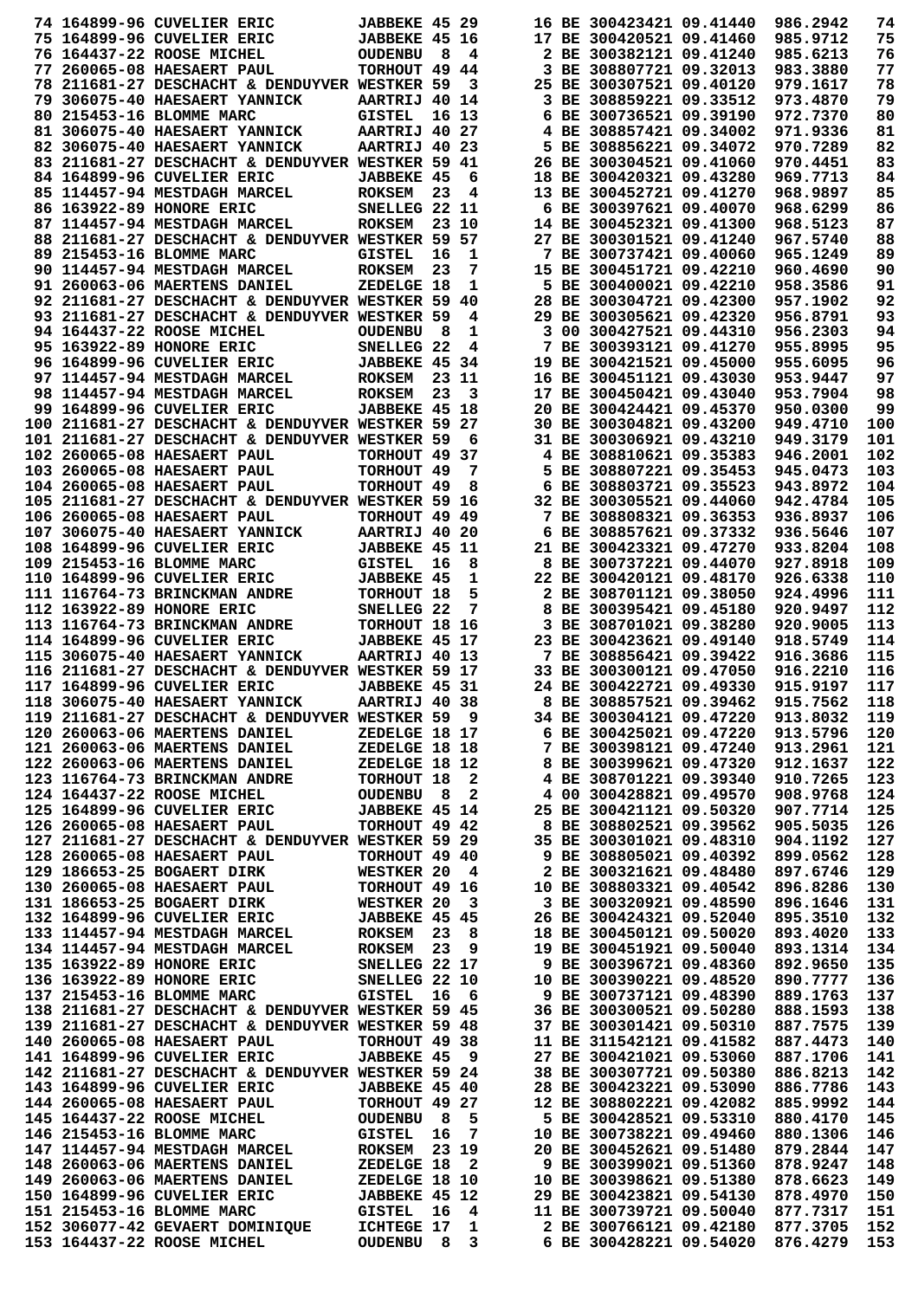|  | 74 164899-96 CUVELIER ERIC                                                                                                                                                                                                                  | JABBEKE 45 29         |     |       |  | 16 BE 300423421 09.41440                           | 986.2942             | 74         |
|--|---------------------------------------------------------------------------------------------------------------------------------------------------------------------------------------------------------------------------------------------|-----------------------|-----|-------|--|----------------------------------------------------|----------------------|------------|
|  | 75 164899-96 CUVELIER ERIC                                                                                                                                                                                                                  | JABBEKE 45 16         |     |       |  | 17 BE 300420521 09.41460                           | 985.9712             | 75         |
|  | 76 164437-22 ROOSE MICHEL                                                                                                                                                                                                                   | <b>OUDENBU</b>        | - 8 | 4     |  | 2 BE 300382121 09.41240                            | 985.6213             | 76         |
|  | 77 260065-08 HAESAERT PAUL                                                                                                                                                                                                                  | TORHOUT 49 44         |     |       |  | 3 BE 308807721 09.32013                            | 983.3880             | 77         |
|  | 78 211681-27 DESCHACHT & DENDUYVER WESTKER 59                                                                                                                                                                                               |                       |     | 3     |  | 25 BE 300307521 09.40120                           | 979.1617             | 78         |
|  | 79 306075-40 HAESAERT YANNICK                                                                                                                                                                                                               | AARTRIJ 40 14         |     |       |  | 3 BE 308859221 09.33512                            | 973.4870             | 79         |
|  | 80 215453-16 BLOMME MARC                                                                                                                                                                                                                    |                       |     |       |  |                                                    |                      |            |
|  |                                                                                                                                                                                                                                             | <b>GISTEL</b>         |     | 16 13 |  | 6 BE 300736521 09.39190                            | 972.7370             | 80         |
|  | 81 306075-40 HAESAERT YANNICK                                                                                                                                                                                                               | AARTRIJ 40 27         |     |       |  | 4 BE 308857421 09.34002                            | 971.9336             | 81         |
|  | 82 306075-40 HAESAERT YANNICK                                                                                                                                                                                                               | AARTRIJ 40 23         |     |       |  | 5 BE 308856221 09.34072                            | 970.7289             | 82         |
|  | 83 211681-27 DESCHACHT & DENDUYVER WESTKER 59 41                                                                                                                                                                                            |                       |     |       |  | 26 BE 300304521 09.41060                           | 970.4451             | 83         |
|  | 84 164899-96 CUVELIER ERIC                                                                                                                                                                                                                  | JABBEKE 45            |     | 6     |  | 18 BE 300420321 09.43280                           | 969.7713             | 84         |
|  | 85 114457-94 MESTDAGH MARCEL                                                                                                                                                                                                                | <b>ROKSEM</b>         | 23  | 4     |  | 13 BE 300452721 09.41270                           | 968.9897             | 85         |
|  | 86 163922-89 HONORE ERIC                                                                                                                                                                                                                    | SNELLEG 22 11         |     |       |  | 6 BE 300397621 09.40070                            | 968.6299             | 86         |
|  | 87 114457-94 MESTDAGH MARCEL                                                                                                                                                                                                                | <b>ROKSEM</b>         |     | 23 10 |  | 14 BE 300452321 09.41300                           | 968.5123             | 87         |
|  | 88 211681-27 DESCHACHT & DENDUYVER WESTKER 59 57                                                                                                                                                                                            |                       |     |       |  | 27 BE 300301521 09.41240                           | 967.5740             | 88         |
|  | 89 215453-16 BLOMME MARC                                                                                                                                                                                                                    | GISTEL                | 16  | 1     |  | 7 BE 300737421 09.40060                            | 965.1249             | 89         |
|  | 90 114457-94 MESTDAGH MARCEL                                                                                                                                                                                                                | <b>ROKSEM</b>         | 23  | 7     |  | 15 BE 300451721 09.42210                           | 960.4690             | 90         |
|  |                                                                                                                                                                                                                                             |                       |     |       |  |                                                    |                      |            |
|  | 91 260063-06 MAERTENS DANIEL                                                                                                                                                                                                                | ZEDELGE 18            |     | 1     |  | 5 BE 300400021 09.42210                            | 958.3586             | 91         |
|  | 92 211681-27 DESCHACHT & DENDUYVER WESTKER 59 40                                                                                                                                                                                            |                       |     |       |  | 28 BE 300304721 09.42300                           | 957.1902             | 92         |
|  | 93 211681-27 DESCHACHT & DENDUYVER WESTKER 59                                                                                                                                                                                               |                       |     | 4     |  | 29 BE 300305621 09.42320                           | 956.8791             | 93         |
|  | 94 164437-22 ROOSE MICHEL                                                                                                                                                                                                                   | <b>OUDENBU</b>        | - 8 | 1     |  | 3 00 300427521 09.44310                            | 956.2303             | 94         |
|  | 95 163922-89 HONORE ERIC                                                                                                                                                                                                                    | SNELLEG <sub>22</sub> |     | 4     |  | 7 BE 300393121 09.41270                            | 955.8995             | 95         |
|  | 96 164899-96 CUVELIER ERIC                                                                                                                                                                                                                  | JABBEKE 45 34         |     |       |  | 19 BE 300421521 09.45000                           | 955.6095             | 96         |
|  | 97 114457-94 MESTDAGH MARCEL                                                                                                                                                                                                                | <b>ROKSEM</b>         |     | 23 11 |  | 16 BE 300451121 09.43030                           | 953.9447             | 97         |
|  | 98 114457-94 MESTDAGH MARCEL                                                                                                                                                                                                                | <b>ROKSEM</b>         | 23  | 3     |  | 17 BE 300450421 09.43040                           | 953.7904             | 98         |
|  | 99 164899-96 CUVELIER ERIC                                                                                                                                                                                                                  | <b>JABBEKE 45 18</b>  |     |       |  | 20 BE 300424421 09.45370                           | 950.0300             | 99         |
|  | 100 211681-27 DESCHACHT & DENDUYVER WESTKER 59 27                                                                                                                                                                                           |                       |     |       |  | 30 BE 300304821 09.43200                           | 949.4710             | 100        |
|  | 101 211681-27 DESCHACHT & DENDUYVER WESTKER 59                                                                                                                                                                                              |                       |     | 6     |  | 31 BE 300306921 09.43210                           | 949.3179             | 101        |
|  |                                                                                                                                                                                                                                             |                       |     |       |  |                                                    |                      |            |
|  | 102 260065-08 HAESAERT PAUL                                                                                                                                                                                                                 | TORHOUT 49 37         |     |       |  | 4 BE 308810621 09.35383                            | 946.2001             | 102        |
|  | 103 260065-08 HAESAERT PAUL                                                                                                                                                                                                                 | TORHOUT 49            |     | 7     |  | 5 BE 308807221 09.35453                            | 945.0473             | 103        |
|  | 104 260065-08 HAESAERT PAUL                                                                                                                                                                                                                 | TORHOUT 49            |     | 8     |  | 6 BE 308803721 09.35523                            | 943.8972             | 104        |
|  | 105 211681-27 DESCHACHT & DENDUYVER WESTKER 59 16                                                                                                                                                                                           |                       |     |       |  | 32 BE 300305521 09.44060                           | 942.4784             | 105        |
|  | 106 260065-08 HAESAERT PAUL                                                                                                                                                                                                                 | TORHOUT 49 49         |     |       |  | 7 BE 308808321 09.36353                            | 936.8937             | 106        |
|  | 107 306075-40 HAESAERT YANNICK                                                                                                                                                                                                              | AARTRIJ 40 20         |     |       |  | 6 BE 308857621 09.37332                            | 936.5646             | 107        |
|  | 108 164899-96 CUVELIER ERIC                                                                                                                                                                                                                 | <b>JABBEKE 45 11</b>  |     |       |  | 21 BE 300423321 09.47270                           | 933.8204             | 108        |
|  | 109 215453-16 BLOMME MARC                                                                                                                                                                                                                   | <b>GISTEL</b>         | 16  | 8     |  | 8 BE 300737221 09.44070                            | 927.8918             | 109        |
|  | 110 164899-96 CUVELIER ERIC                                                                                                                                                                                                                 | <b>JABBEKE 45</b>     |     | 1     |  | 22 BE 300420121 09.48170                           | 926.6338             | 110        |
|  | 111 116764-73 BRINCKMAN ANDRE                                                                                                                                                                                                               | TORHOUT 18            |     | 5     |  | 2 BE 308701121 09.38050                            | 924.4996             | 111        |
|  | 112 163922-89 HONORE ERIC                                                                                                                                                                                                                   | SNELLEG <sub>22</sub> |     | 7     |  | 8 BE 300395421 09.45180                            | 920.9497             | 112        |
|  |                                                                                                                                                                                                                                             |                       |     |       |  |                                                    |                      |            |
|  | 113 116764-73 BRINCKMAN ANDRE                                                                                                                                                                                                               | TORHOUT 18 16         |     |       |  | 3 BE 308701021 09.38280                            | 920.9005             | 113        |
|  | 114 164899-96 CUVELIER ERIC                                                                                                                                                                                                                 | <b>JABBEKE 45 17</b>  |     |       |  | 23 BE 300423621 09.49140                           | 918.5749             | 114        |
|  | 115 306075-40 HAESAERT YANNICK                                                                                                                                                                                                              | AARTRIJ 40 13         |     |       |  | 7 BE 308856421 09.39422                            | 916.3686             | 115        |
|  | 116 211681-27 DESCHACHT & DENDUYVER WESTKER 59 17                                                                                                                                                                                           |                       |     |       |  | 33 BE 300300121 09.47050                           | 916.2210             | 116        |
|  | 117 164899-96 CUVELIER ERIC                                                                                                                                                                                                                 | JABBEKE 45 31         |     |       |  | 24 BE 300422721 09.49330                           | 915.9197             | 117        |
|  | 118 306075-40 HAESAERT YANNICK                                                                                                                                                                                                              | <b>AARTRIJ 40 38</b>  |     |       |  | 8 BE 308857521 09.39462                            | 915.7562             | 118        |
|  | 119 211681-27 DESCHACHT & DENDUYVER WESTKER 59 9                                                                                                                                                                                            |                       |     |       |  | 34 BE 300304121 09.47220                           | 913.8032             | 119        |
|  | 120 260063-06 MAERTENS DANIEL                                                                                                                                                                                                               | ZEDELGE 18 17         |     |       |  | 6 BE 300425021 09.47220                            | 913.5796             | 120        |
|  | 121 260063-06 MAERTENS DANIEL                                                                                                                                                                                                               | ZEDELGE 18 18         |     |       |  | 7 BE 300398121 09.47240                            | 913.2961             | 121        |
|  | 122 260063-06 MAERTENS DANIEL                                                                                                                                                                                                               | ZEDELGE 18 12         |     |       |  | 8 BE 300399621 09.47320                            | 912.1637             | 122        |
|  | 123 116764-73 BRINCKMAN ANDRE                                                                                                                                                                                                               | TORHOUT 18 2          |     |       |  | 4 BE 308701221 09.39340                            | 910.7265             | 123        |
|  | 124 164437-22 ROOSE MICHEL                                                                                                                                                                                                                  | OUDENBU 8 2           |     |       |  | 4 00 300428821 09.49570                            | 908.9768             | 124        |
|  |                                                                                                                                                                                                                                             |                       |     |       |  | 25 BE 300421121 09.50320                           | 907.7714             | 125        |
|  | 125 164899-96 CUVELIER ERIC JABBEKE 45 14                                                                                                                                                                                                   |                       |     |       |  |                                                    |                      |            |
|  | 126 260065-08 HAESAERT PAUL                                                                                                                                                                                                                 | TORHOUT 49 42         |     |       |  | 8 BE 308802521 09.39562                            | 905.5035             | 126        |
|  | 127 211681-27 DESCHACHT & DENDUYVER WESTKER 59 29                                                                                                                                                                                           |                       |     |       |  | 35 BE 300301021 09.48310                           | 904.1192             | 127        |
|  | 128 260065-08 HAESAERT PAUL                                                                                                                                                                                                                 | TORHOUT 49 40         |     |       |  | 9 BE 308805021 09.40392                            | 899.0562             | 128        |
|  | 129 186653-25 BOGAERT DIRK                                                                                                                                                                                                                  | WESTKER 20 4          |     |       |  | 2 BE 300321621 09.48480                            | 897.6746             | 129        |
|  | 130 260065-08 HAESAERT PAUL TORHOUT 49 16                                                                                                                                                                                                   |                       |     |       |  | 10 BE 308803321 09.40542                           | 896.8286             | 130        |
|  | 131 186653-25 BOGAERT DIRK WESTKER 20 3<br>132 164899-96 CUVELIER ERIC JABBEKE 45 45                                                                                                                                                        |                       |     |       |  | 3 BE 300320921 09.48590                            | 896.1646             | 131        |
|  |                                                                                                                                                                                                                                             |                       |     |       |  | 26 BE 300424321 09.52040                           | 895.3510             | 132        |
|  |                                                                                                                                                                                                                                             |                       |     |       |  | 18 BE 300450121 09.50020                           | 893.4020             | 133        |
|  |                                                                                                                                                                                                                                             |                       |     |       |  | 19 BE 300451921 09.50040                           | 893.1314             | 134        |
|  | 133 114457-94 MESTDAGH MARCEL<br>133 114457-94 MESTDAGH MARCEL<br>134 114457-94 MESTDAGH MARCEL<br>135 163922-89 HONORE ERIC<br>136 163922-89 HONORE ERIC<br>137 215453-16 BLOMME MARC<br>137 215453-16 BLOMME MARC<br>157 215453-16 BLOMME |                       |     |       |  | 9 BE 300396721 09.48360                            | 892.9650             | 135        |
|  |                                                                                                                                                                                                                                             |                       |     |       |  | 10 BE 300390221 09.48520                           | 890.7777             | 136        |
|  |                                                                                                                                                                                                                                             |                       |     |       |  |                                                    |                      |            |
|  |                                                                                                                                                                                                                                             |                       |     |       |  | 9 BE 300737121 09.48390                            | 889.1763             | 137        |
|  | 138 211681-27 DESCHACHT & DENDUYVER WESTKER 59 45                                                                                                                                                                                           |                       |     |       |  | 36 BE 300300521 09.50280                           | 888.1593             | 138        |
|  | 139 211681-27 DESCHACHT & DENDUYVER WESTKER 59 48                                                                                                                                                                                           |                       |     |       |  | 37 BE 300301421 09.50310                           | 887.7575             | 139        |
|  | 140 260065-08 HAESAERT PAUL                                                                                                                                                                                                                 | TORHOUT 49 38         |     |       |  | 11 BE 311542121 09.41582                           | 887.4473             | 140        |
|  | 141 164899-96 CUVELIER ERIC                                                                                                                                                                                                                 | JABBEKE 45 9          |     |       |  | 27 BE 300421021 09.53060                           | 887.1706             | 141        |
|  | 142 211681-27 DESCHACHT & DENDUYVER WESTKER 59 24                                                                                                                                                                                           |                       |     |       |  | 38 BE 300307721 09.50380                           | 886.8213             | 142        |
|  | 143 164899-96 CUVELIER ERIC                                                                                                                                                                                                                 | <b>JABBEKE 45 40</b>  |     |       |  | 28 BE 300423221 09.53090                           | 886.7786             | 143        |
|  | 144 260065-08 HAESAERT PAUL                                                                                                                                                                                                                 | TORHOUT 49 27         |     |       |  | 12 BE 308802221 09.42082                           | 885.9992             | 144        |
|  | 145 164437-22 ROOSE MICHEL                                                                                                                                                                                                                  | <b>OUDENBU 8 5</b>    |     |       |  | 5 BE 300428521 09.53310                            | 880.4170             | 145        |
|  |                                                                                                                                                                                                                                             |                       |     |       |  | 10 BE 300738221 09.49460                           | 880.1306             | 146        |
|  |                                                                                                                                                                                                                                             |                       |     |       |  | 20 BE 300452621 09.51480                           | 879.2844             | 147        |
|  | 148 260063-06 MAERTENS DANIEL ZEDELGE 18 2                                                                                                                                                                                                  |                       |     |       |  | 9 BE 300399021 09.51360                            | 878.9247             | 148        |
|  |                                                                                                                                                                                                                                             |                       |     |       |  | 10 BE 300398621 09.51380                           |                      | 149        |
|  |                                                                                                                                                                                                                                             |                       |     |       |  |                                                    |                      |            |
|  | 149 260063-06 MAERTENS DANIEL                                                                                                                                                                                                               |                       |     |       |  |                                                    | 878.6623             |            |
|  | 150 164899-96 CUVELIER ERIC                                                                                                                                                                                                                 |                       |     |       |  | 29 BE 300423821 09.54130                           | 878.4970             | 150        |
|  | 151 215453-16 BLOMME MARC                                                                                                                                                                                                                   |                       |     |       |  | 11 BE 300739721 09.50040                           | 877.7317             | 151        |
|  | 152 306077-42 GEVAERT DOMINIQUE      ICHTEGE 17 1<br>153 164437-22 ROOSE MICHEL          OUDENBU   8   3                                                                                                                                    |                       |     |       |  | 2 BE 300766121 09.42180<br>6 BE 300428221 09.54020 | 877.3705<br>876.4279 | 152<br>153 |